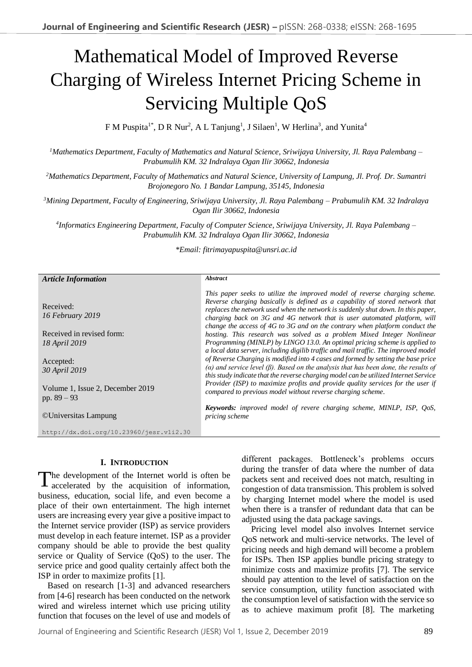# Mathematical Model of Improved Reverse Charging of Wireless Internet Pricing Scheme in Servicing Multiple QoS

F M Puspita<sup>1\*</sup>, D R Nur<sup>2</sup>, A L Tanjung<sup>1</sup>, J Silaen<sup>1</sup>, W Herlina<sup>3</sup>, and Yunita<sup>4</sup>

*<sup>1</sup>Mathematics Department, Faculty of Mathematics and Natural Science, Sriwijaya University, Jl. Raya Palembang – Prabumulih KM. 32 Indralaya Ogan Ilir 30662, Indonesia*

*<sup>2</sup>Mathematics Department, Faculty of Mathematics and Natural Science, University of Lampung, Jl. Prof. Dr. Sumantri Brojonegoro No. 1 Bandar Lampung, 35145, Indonesia*

*<sup>3</sup>Mining Department, Faculty of Engineering, Sriwijaya University, Jl. Raya Palembang – Prabumulih KM. 32 Indralaya Ogan Ilir 30662, Indonesia*

*4 Informatics Engineering Department, Faculty of Computer Science, Sriwijaya University, Jl. Raya Palembang – Prabumulih KM. 32 Indralaya Ogan Ilir 30662, Indonesia*

*\*Email: fitrimayapuspita@unsri.ac.id*

| <b>Article Information</b>                        | <b>Abstract</b>                                                                                                                                                                                                                                                                                                                                                                                                                                             |
|---------------------------------------------------|-------------------------------------------------------------------------------------------------------------------------------------------------------------------------------------------------------------------------------------------------------------------------------------------------------------------------------------------------------------------------------------------------------------------------------------------------------------|
|                                                   |                                                                                                                                                                                                                                                                                                                                                                                                                                                             |
| Received:<br>16 February 2019                     | This paper seeks to utilize the improved model of reverse charging scheme.<br>Reverse charging basically is defined as a capability of stored network that<br>replaces the network used when the network is suddenly shut down. In this paper,<br>charging back on 3G and 4G network that is user automated platform, will<br>change the access of $4G$ to $3G$ and on the contrary when platform conduct the                                               |
| Received in revised form:                         | hosting. This research was solved as a problem Mixed Integer Nonlinear                                                                                                                                                                                                                                                                                                                                                                                      |
| <i>18 April 2019</i>                              | Programming (MINLP) by LINGO 13.0. An optimal pricing scheme is applied to                                                                                                                                                                                                                                                                                                                                                                                  |
| Accepted:<br>30 April 2019                        | a local data server, including digilib traffic and mail traffic. The improved model<br>of Reverse Charging is modified into 4 cases and formed by setting the base price<br>( $\alpha$ ) and service level ( $\beta$ ). Based on the analysis that has been done, the results of<br>this study indicate that the reverse charging model can be utilized Internet Service<br>Provider (ISP) to maximize profits and provide quality services for the user if |
| Volume 1, Issue 2, December 2019<br>pp. $89 - 93$ | compared to previous model without reverse charging scheme.                                                                                                                                                                                                                                                                                                                                                                                                 |
| ©Universitas Lampung                              | <b>Keywords:</b> improved model of revere charging scheme, MINLP, ISP, QoS,<br>pricing scheme                                                                                                                                                                                                                                                                                                                                                               |
| http://dx.doi.org/10.23960/jesr.vli2.30           |                                                                                                                                                                                                                                                                                                                                                                                                                                                             |
|                                                   |                                                                                                                                                                                                                                                                                                                                                                                                                                                             |

## **I. INTRODUCTION**

The development of the Internet world is often be accelerated by the acquisition of information, accelerated by the acquisition of information, business, education, social life, and even become a place of their own entertainment. The high internet users are increasing every year give a positive impact to the Internet service provider (ISP) as service providers must develop in each feature internet. ISP as a provider company should be able to provide the best quality service or Quality of Service (QoS) to the user. The service price and good quality certainly affect both the ISP in order to maximize profits [1].

Based on research [1-3] and advanced researchers from [4-6] research has been conducted on the network wired and wireless internet which use pricing utility function that focuses on the level of use and models of different packages. Bottleneck's problems occurs during the transfer of data where the number of data packets sent and received does not match, resulting in congestion of data transmission. This problem is solved by charging Internet model where the model is used when there is a transfer of redundant data that can be adjusted using the data package savings.

Pricing level model also involves Internet service QoS network and multi-service networks. The level of pricing needs and high demand will become a problem for ISPs. Then ISP applies bundle pricing strategy to minimize costs and maximize profits [7]. The service should pay attention to the level of satisfaction on the service consumption, utility function associated with the consumption level of satisfaction with the service so as to achieve maximum profit [8]. The marketing

Journal of Engineering and Scientific Research (JESR) Vol 1, Issue 2, December 2019 89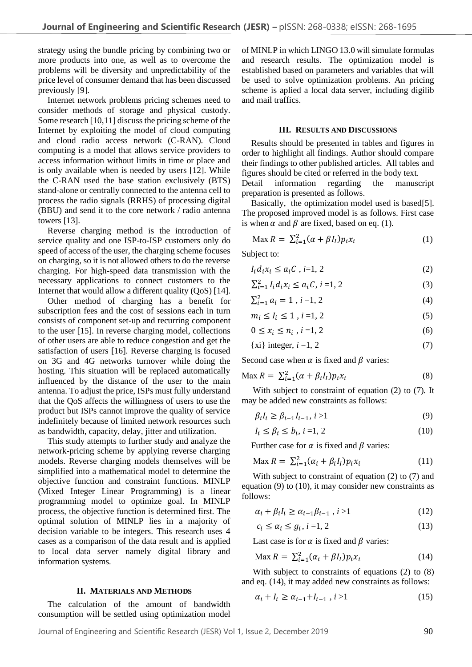strategy using the bundle pricing by combining two or more products into one, as well as to overcome the problems will be diversity and unpredictability of the price level of consumer demand that has been discussed previously [9].

Internet network problems pricing schemes need to consider methods of storage and physical custody. Some research [10,11] discuss the pricing scheme of the Internet by exploiting the model of cloud computing and cloud radio access network (C-RAN). Cloud computing is a model that allows service providers to access information without limits in time or place and is only available when is needed by users [12]. While the C-RAN used the base station exclusively (BTS) stand-alone or centrally connected to the antenna cell to process the radio signals (RRHS) of processing digital (BBU) and send it to the core network / radio antenna towers [13].

Reverse charging method is the introduction of service quality and one ISP-to-ISP customers only do speed of access of the user, the charging scheme focuses on charging, so it is not allowed others to do the reverse charging. For high-speed data transmission with the necessary applications to connect customers to the Internet that would allow a different quality (OoS) [14].

Other method of charging has a benefit for subscription fees and the cost of sessions each in turn consists of component set-up and recurring component to the user [15]. In reverse charging model, collections of other users are able to reduce congestion and get the satisfaction of users [16]. Reverse charging is focused on 3G and 4G networks turnover while doing the hosting. This situation will be replaced automatically influenced by the distance of the user to the main antenna. To adjust the price, ISPs must fully understand that the QoS affects the willingness of users to use the product but ISPs cannot improve the quality of service indefinitely because of limited network resources such as bandwidth, capacity, delay, jitter and utilization.

This study attempts to further study and analyze the network-pricing scheme by applying reverse charging models. Reverse charging models themselves will be simplified into a mathematical model to determine the objective function and constraint functions. MINLP (Mixed Integer Linear Programming) is a linear programming model to optimize goal. In MINLP process, the objective function is determined first. The optimal solution of MINLP lies in a majority of decision variable to be integers. This research uses 4 cases as a comparison of the data result and is applied to local data server namely digital library and information systems.

### **II. MATERIALS AND METHODS**

The calculation of the amount of bandwidth consumption will be settled using optimization model

of MINLP in which LINGO 13.0 will simulate formulas and research results. The optimization model is established based on parameters and variables that will be used to solve optimization problems. An pricing scheme is aplied a local data server, including digilib and mail traffics.

#### **III. RESULTS AND DISCUSSIONS**

Results should be presented in tables and figures in order to highlight all findings. Author should compare their findings to other published articles. All tables and figures should be cited or referred in the body text.

Detail information regarding the manuscript preparation is presented as follows.

Basically, the optimization model used is based[5]. The proposed improved model is as follows. First case is when  $\alpha$  and  $\beta$  are fixed, based on eq. (1).

$$
\text{Max } R = \sum_{i=1}^{2} (\alpha + \beta I_i) p_i x_i \tag{1}
$$

Subject to:

$$
I_i d_i x_i \le a_i C, i=1, 2
$$
 (2)

$$
\sum_{i=1}^{2} I_i d_i x_i \le a_i C, i = 1, 2
$$
 (3)

$$
\sum_{i=1}^{2} a_i = 1, i = 1, 2 \tag{4}
$$

$$
m_i \le I_i \le 1, i = 1, 2 \tag{5}
$$

$$
0 \le x_i \le n_i, i = 1, 2 \tag{6}
$$

$$
\{xi\} \text{ integer}, i = 1, 2 \tag{7}
$$

Second case when  $\alpha$  is fixed and  $\beta$  varies:

$$
\text{Max } R = \sum_{i=1}^{2} (\alpha + \beta_i I_i) p_i x_i \tag{8}
$$

With subject to constraint of equation (2) to (7). It may be added new constraints as follows:

$$
\beta_i I_i \ge \beta_{i-1} I_{i-1}, i > 1 \tag{9}
$$

$$
I_i \le \beta_i \le b_i, i = 1, 2 \tag{10}
$$

Further case for  $\alpha$  is fixed and  $\beta$  varies:

$$
\text{Max } R = \sum_{i=1}^{2} (\alpha_i + \beta_i I_i) p_i x_i \tag{11}
$$

With subject to constraint of equation (2) to (7) and equation (9) to (10), it may consider new constraints as follows:

$$
\alpha_i + \beta_i I_i \ge \alpha_{i-1} \beta_{i-1}, i > 1 \tag{12}
$$

$$
c_i \le \alpha_i \le g_i, i = 1, 2 \tag{13}
$$

Last case is for  $\alpha$  is fixed and  $\beta$  varies:

$$
\text{Max } R = \sum_{i=1}^{2} (\alpha_i + \beta I_i) p_i x_i \tag{14}
$$

With subject to constraints of equations (2) to (8) and eq. (14), it may added new constraints as follows:

$$
\alpha_i + l_i \ge \alpha_{i-1} + l_{i-1}, \, i > 1 \tag{15}
$$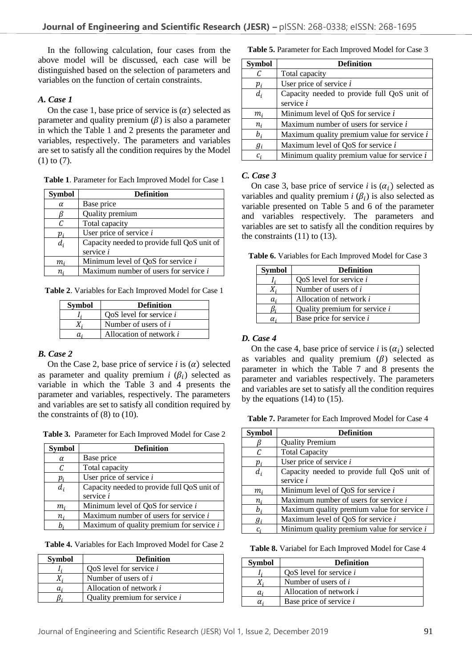In the following calculation, four cases from the above model will be discussed, each case will be distinguished based on the selection of parameters and variables on the function of certain constraints.

## *A. Case 1*

On the case 1, base price of service is  $(\alpha)$  selected as parameter and quality premium  $(\beta)$  is also a parameter in which the Table 1 and 2 presents the parameter and variables, respectively. The parameters and variables are set to satisfy all the condition requires by the Model (1) to (7).

**Table 1**. Parameter for Each Improved Model for Case 1

| <b>Symbol</b>              | <b>Definition</b>                           |
|----------------------------|---------------------------------------------|
| $\alpha$                   | Base price                                  |
|                            | Quality premium                             |
| C                          | Total capacity                              |
| $p_{\scriptscriptstyle i}$ | User price of service $i$                   |
| $d_i$                      | Capacity needed to provide full QoS unit of |
|                            | service i                                   |
| m,                         | Minimum level of QoS for service i          |
|                            | Maximum number of users for service $i$     |

**Table 2**. Variables for Each Improved Model for Case 1

| <b>Symbol</b> | <b>Definition</b>              |  |  |
|---------------|--------------------------------|--|--|
|               | QoS level for service <i>i</i> |  |  |
|               | Number of users of $i$         |  |  |
| а.            | Allocation of network i        |  |  |

# *B. Case 2*

On the Case 2, base price of service *i* is  $(\alpha)$  selected as parameter and quality premium  $i$  ( $\beta$ <sub>i</sub>) selected as variable in which the Table 3 and 4 presents the parameter and variables, respectively. The parameters and variables are set to satisfy all condition required by the constraints of (8) to (10).

**Table 3.** Parameter for Each Improved Model for Case 2

| <b>Symbol</b> | <b>Definition</b>                            |  |  |  |
|---------------|----------------------------------------------|--|--|--|
| $\alpha$      | Base price                                   |  |  |  |
| C             | Total capacity                               |  |  |  |
| $p_i$         | User price of service $i$                    |  |  |  |
| $d_i$         | Capacity needed to provide full QoS unit of  |  |  |  |
|               | service i                                    |  |  |  |
| $m_i$         | Minimum level of QoS for service i           |  |  |  |
| $n_i$         | Maximum number of users for service <i>i</i> |  |  |  |
|               | Maximum of quality premium for service $i$   |  |  |  |

**Table 4.** Variables for Each Improved Model for Case 2

| <b>Symbol</b> | <b>Definition</b>                    |
|---------------|--------------------------------------|
|               | QoS level for service $i$            |
|               | Number of users of $i$               |
| a,            | Allocation of network i              |
|               | Quality premium for service <i>i</i> |

**Table 5.** Parameter for Each Improved Model for Case 3

| <b>Symbol</b> | <b>Definition</b>                             |
|---------------|-----------------------------------------------|
| C             | Total capacity                                |
| $p_i$         | User price of service $i$                     |
| $d_i$         | Capacity needed to provide full QoS unit of   |
|               | service <i>i</i>                              |
| m,            | Minimum level of QoS for service i            |
| $n_i$         | Maximum number of users for service $i$       |
| $b_i$         | Maximum quality premium value for service $i$ |
| $g_i$         | Maximum level of QoS for service i            |
| $c_i$         | Minimum quality premium value for service $i$ |

## *C. Case 3*

On case 3, base price of service *i* is  $(\alpha_i)$  selected as variables and quality premium  $i(\beta_i)$  is also selected as variable presented on Table 5 and 6 of the parameter and variables respectively. The parameters and variables are set to satisfy all the condition requires by the constraints  $(11)$  to  $(13)$ .

**Table 6.** Variables for Each Improved Model for Case 3

| <b>Symbol</b> | <b>Definition</b>               |  |  |
|---------------|---------------------------------|--|--|
|               | OoS level for service <i>i</i>  |  |  |
|               | Number of users of i            |  |  |
| a.            | Allocation of network <i>i</i>  |  |  |
|               | Quality premium for service $i$ |  |  |
|               | Base price for service <i>i</i> |  |  |

# *D. Case 4*

On the case 4, base price of service *i* is  $(\alpha_i)$  selected as variables and quality premium  $(\beta)$  selected as parameter in which the Table 7 and 8 presents the parameter and variables respectively. The parameters and variables are set to satisfy all the condition requires by the equations (14) to (15).

**Table 7.** Parameter for Each Improved Model for Case 4

| <b>Symbol</b> | <b>Definition</b>                             |
|---------------|-----------------------------------------------|
|               | <b>Quality Premium</b>                        |
|               | <b>Total Capacity</b>                         |
| $p_i$         | User price of service $i$                     |
| $d_i$         | Capacity needed to provide full QoS unit of   |
|               | service <i>i</i>                              |
| $m_i$         | Minimum level of QoS for service i            |
| $n_i$         | Maximum number of users for service i         |
| b;            | Maximum quality premium value for service $i$ |
| Яi            | Maximum level of QoS for service i            |
|               | Minimum quality premium value for service $i$ |

**Table 8.** Variabel for Each Improved Model for Case 4

| <b>Symbol</b> | <b>Definition</b>         |
|---------------|---------------------------|
|               | QoS level for service $i$ |
|               | Number of users of $i$    |
| a,            | Allocation of network i   |
| $\alpha_i$    | Base price of service i   |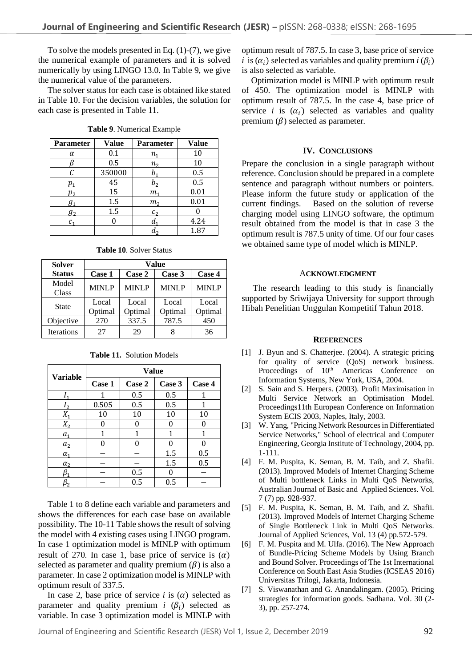To solve the models presented in Eq.  $(1)-(7)$ , we give the numerical example of parameters and it is solved numerically by using LINGO 13.0. In Table 9, we give the numerical value of the parameters.

The solver status for each case is obtained like stated in Table 10. For the decision variables, the solution for each case is presented in Table 11.

| Parameter | Value  | Parameter      | <b>Value</b> |  |
|-----------|--------|----------------|--------------|--|
| α         | 0.1    | $n_{1}$        | 10           |  |
|           | 0.5    | $n_{2}$        | 10           |  |
| С         | 350000 | b.             | 0.5          |  |
| $p_{1}$   | 45     | b,             | 0.5          |  |
| p,        | 15     | т.             | 0.01         |  |
| $g_1$     | 1.5    | m <sub>2</sub> | 0.01         |  |
| $g_2$     | 1.5    | c <sub>2</sub> |              |  |
| c.        | 0      | d              | 4.24         |  |
|           |        | a.             | 1.87         |  |

**Table 9**. Numerical Example

| <b>Solver</b>     | Value            |                  |                  |                  |
|-------------------|------------------|------------------|------------------|------------------|
| <b>Status</b>     | Case 1           | Case 2           | Case 3           | Case 4           |
| Model<br>Class    | <b>MINLP</b>     | <b>MINLP</b>     | <b>MINLP</b>     | <b>MINLP</b>     |
| <b>State</b>      | Local<br>Optimal | Local<br>Optimal | Local<br>Optimal | Local<br>Optimal |
| Objective         | 270              | 337.5            | 787.5            | 450              |
| <b>Iterations</b> | 27               | 29               | 8                | 36               |

**Table 11.** Solution Models

| <b>Variable</b> | <b>Value</b> |        |        |        |
|-----------------|--------------|--------|--------|--------|
|                 | Case 1       | Case 2 | Case 3 | Case 4 |
|                 | 1            | 0.5    | 0.5    | 1      |
|                 | 0.505        | 0.5    | 0.5    |        |
| $X_{1}$         | 10           | 10     | 10     | 10     |
| $X_2$           | 0            |        |        |        |
| $a_{1}$         | 1            | 1      | 1      | 1      |
| a <sub>2</sub>  |              |        |        |        |
| $\alpha_{1}$    |              |        | 1.5    | 0.5    |
| $\alpha$ ,      |              |        | 1.5    | 0.5    |
|                 |              | 0.5    |        |        |
|                 |              | 0.5    | 0.5    |        |

Table 1 to 8 define each variable and parameters and shows the differences for each case base on available possibility. The 10-11 Table shows the result of solving the model with 4 existing cases using LINGO program. In case 1 optimization model is MINLP with optimum result of 270. In case 1, base price of service is  $(\alpha)$ selected as parameter and quality premium  $(\beta)$  is also a parameter. In case 2 optimization model is MINLP with optimum result of 337.5.

In case 2, base price of service *i* is  $(\alpha)$  selected as parameter and quality premium  $i$  ( $\beta_i$ ) selected as variable. In case 3 optimization model is MINLP with

optimum result of 787.5. In case 3, base price of service *i* is  $(\alpha_i)$  selected as variables and quality premium *i*  $(\beta_i)$ is also selected as variable.

Optimization model is MINLP with optimum result of 450. The optimization model is MINLP with optimum result of 787.5. In the case 4, base price of service *i* is  $(\alpha_i)$  selected as variables and quality premium  $(\beta)$  selected as parameter.

#### **IV. CONCLUSIONS**

Prepare the conclusion in a single paragraph without reference. Conclusion should be prepared in a complete sentence and paragraph without numbers or pointers. Please inform the future study or application of the current findings. Based on the solution of reverse charging model using LINGO software, the optimum result obtained from the model is that in case 3 the optimum result is 787.5 unity of time. Of our four cases we obtained same type of model which is MINLP.

#### A**CKNOWLEDGMENT**

The research leading to this study is financially supported by Sriwijaya University for support through Hibah Penelitian Unggulan Kompetitif Tahun 2018.

#### **REFERENCES**

- [1] J. Byun and S. Chatterjee. (2004). A strategic pricing for quality of service (QoS) network business. Proceedings of 10<sup>th</sup> Americas Conference on Information Systems, New York, USA, 2004.
- [2] S. Sain and S. Herpers. (2003). Profit Maximisation in Multi Service Network an Optimisation Model. Proceedings11th European Conference on Information System ECIS 2003, Naples, Italy, 2003.
- [3] W. Yang, "Pricing Network Resources in Differentiated Service Networks," School of electrical and Computer Engineering, Georgia Institute of Technology, 2004, pp. 1-111.
- [4] F. M. Puspita, K. Seman, B. M. Taib, and Z. Shafii. (2013). Improved Models of Internet Charging Scheme of Multi bottleneck Links in Multi QoS Networks, Australian Journal of Basic and Applied Sciences. Vol. 7 (7) pp. 928-937.
- [5] F. M. Puspita, K. Seman, B. M. Taib, and Z. Shafii. (2013). Improved Models of Internet Charging Scheme of Single Bottleneck Link in Multi QoS Networks. Journal of Applied Sciences, Vol. 13 (4) pp.572-579.
- [6] F. M. Puspita and M. Ulfa. (2016). The New Approach of Bundle-Pricing Scheme Models by Using Branch and Bound Solver. Proceedings of The 1st International Conference on South East Asia Studies (ICSEAS 2016) Universitas Trilogi, Jakarta, Indonesia.
- [7] S. Viswanathan and G. Anandalingam. (2005). Pricing strategies for information goods. Sadhana. Vol. 30 (2- 3), pp. 257-274.